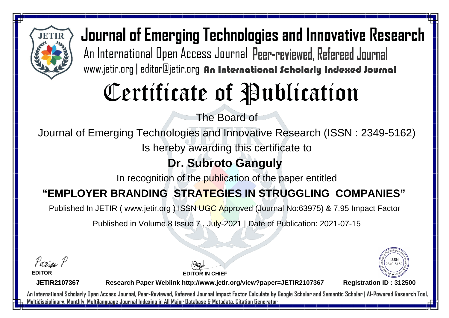

# Certificate of Publication

The Board of

Journal of Emerging Technologies and Innovative Research (ISSN : 2349-5162)

Is hereby awarding this certificate to

### **Dr. Subroto Ganguly**

In recognition of the publication of the paper entitled

### **"EMPLOYER BRANDING STRATEGIES IN STRUGGLING COMPANIES"**

Published In JETIR ( www.jetir.org ) ISSN UGC Approved (Journal No: 63975) & 7.95 Impact Factor

Published in Volume 8 Issue 7 , July-2021 | Date of Publication: 2021-07-15

Parin P **EDITOR**

2349-516

**JETIR2107367**

**Research Paper Weblink http://www.jetir.org/view?paper=JETIR2107367 Registration ID : 312500**

**EDITOR IN CHIEF**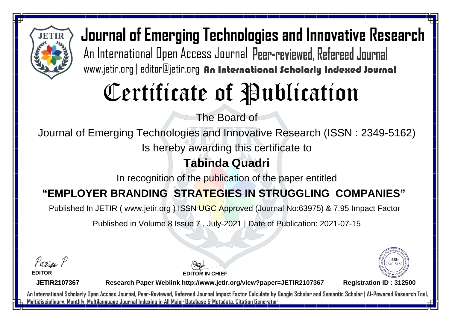

## Certificate of Publication

The Board of

Journal of Emerging Technologies and Innovative Research (ISSN : 2349-5162)

Is hereby awarding this certificate to

#### **Tabinda Quadri**

In recognition of the publication of the paper entitled

#### **"EMPLOYER BRANDING STRATEGIES IN STRUGGLING COMPANIES"**

Published In JETIR ( www.jetir.org ) ISSN UGC Approved (Journal No: 63975) & 7.95 Impact Factor

Published in Volume 8 Issue 7 , July-2021 | Date of Publication: 2021-07-15

Parin P **EDITOR**

**JETIR2107367**

**EDITOR IN CHIEF**

**Research Paper Weblink http://www.jetir.org/view?paper=JETIR2107367 Registration ID : 312500**

2349-516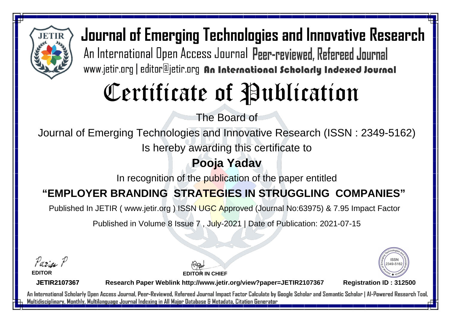

## Certificate of Publication

The Board of

Journal of Emerging Technologies and Innovative Research (ISSN : 2349-5162)

Is hereby awarding this certificate to

#### **Pooja Yadav**

In recognition of the publication of the paper entitled

#### **"EMPLOYER BRANDING STRATEGIES IN STRUGGLING COMPANIES"**

Published In JETIR ( www.jetir.org ) ISSN UGC Approved (Journal No: 63975) & 7.95 Impact Factor

Published in Volume 8 Issue 7 , July-2021 | Date of Publication: 2021-07-15

Parin P

**EDITOR**

**EDITOR IN CHIEF**



**JETIR2107367**

**Research Paper Weblink http://www.jetir.org/view?paper=JETIR2107367 Registration ID : 312500**